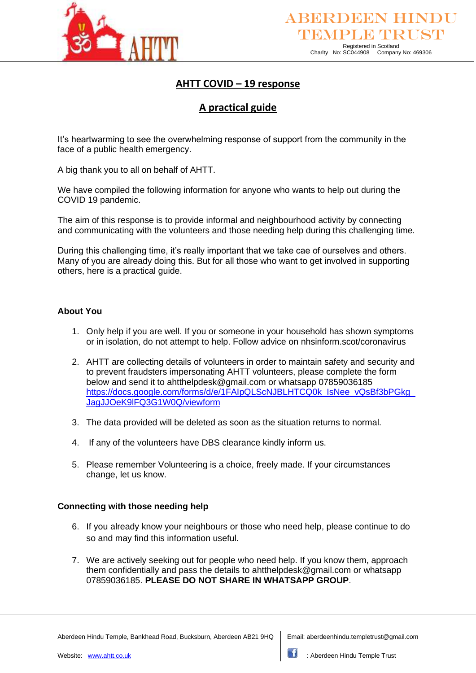

# **AHTT COVID – 19 response**

# **A practical guide**

It's heartwarming to see the overwhelming response of support from the community in the face of a public health emergency.

A big thank you to all on behalf of AHTT.

We have compiled the following information for anyone who wants to help out during the COVID 19 pandemic.

The aim of this response is to provide informal and neighbourhood activity by connecting and communicating with the volunteers and those needing help during this challenging time.

During this challenging time, it's really important that we take cae of ourselves and others. Many of you are already doing this. But for all those who want to get involved in supporting others, here is a practical guide.

# **About You**

- 1. Only help if you are well. If you or someone in your household has shown symptoms or in isolation, do not attempt to help. Follow advice on nhsinform.scot/coronavirus
- 2. AHTT are collecting details of volunteers in order to maintain safety and security and to prevent fraudsters impersonating AHTT volunteers, please complete the form below and send it to ahtthelpdesk@gmail.com or whatsapp 07859036185 https://docs.google.com/forms/d/e/1FAIpQLScNJBLHTCQ0k\_IsNee\_vQsBf3bPGkg [JagJJOeK9lFQ3G1W0Q/viewform](https://docs.google.com/forms/d/e/1FAIpQLScNJBLHTCQ0k_IsNee_vQsBf3bPGkg_JagJJOeK9lFQ3G1W0Q/viewform)
- 3. The data provided will be deleted as soon as the situation returns to normal.
- 4. If any of the volunteers have DBS clearance kindly inform us.
- 5. Please remember Volunteering is a choice, freely made. If your circumstances change, let us know.

# **Connecting with those needing help**

- 6. If you already know your neighbours or those who need help, please continue to do so and may find this information useful.
- 7. We are actively seeking out for people who need help. If you know them, approach them confidentially and pass the details to ahtthelpdesk@gmail.com or whatsapp 07859036185. **PLEASE DO NOT SHARE IN WHATSAPP GROUP**.

Aberdeen Hindu Temple, Bankhead Road, Bucksburn, Aberdeen AB21 9HQ Email: aberdeenhindu.templetrust@gmail.com

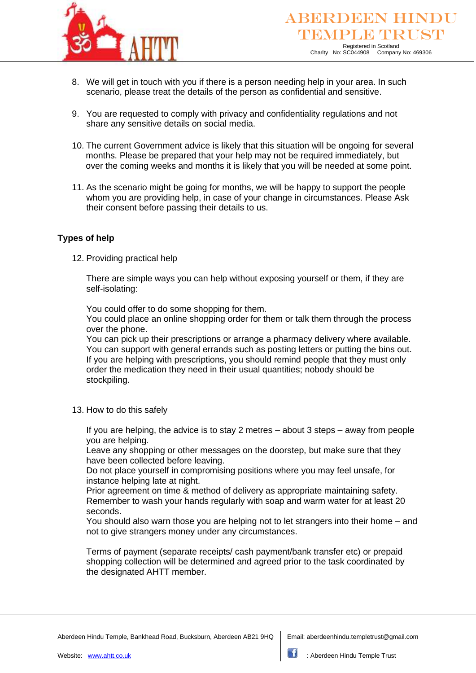

- 8. We will get in touch with you if there is a person needing help in your area. In such scenario, please treat the details of the person as confidential and sensitive.
- 9. You are requested to comply with privacy and confidentiality regulations and not share any sensitive details on social media.
- 10. The current Government advice is likely that this situation will be ongoing for several months. Please be prepared that your help may not be required immediately, but over the coming weeks and months it is likely that you will be needed at some point.
- 11. As the scenario might be going for months, we will be happy to support the people whom you are providing help, in case of your change in circumstances. Please Ask their consent before passing their details to us.

# **Types of help**

12. Providing practical help

There are simple ways you can help without exposing yourself or them, if they are self-isolating:

You could offer to do some shopping for them.

You could place an online shopping order for them or talk them through the process over the phone.

You can pick up their prescriptions or arrange a pharmacy delivery where available. You can support with general errands such as posting letters or putting the bins out. If you are helping with prescriptions, you should remind people that they must only order the medication they need in their usual quantities; nobody should be stockpiling.

13. How to do this safely

If you are helping, the advice is to stay 2 metres – about 3 steps – away from people you are helping.

Leave any shopping or other messages on the doorstep, but make sure that they have been collected before leaving.

Do not place yourself in compromising positions where you may feel unsafe, for instance helping late at night.

Prior agreement on time & method of delivery as appropriate maintaining safety. Remember to wash your hands regularly with soap and warm water for at least 20 seconds.

You should also warn those you are helping not to let strangers into their home – and not to give strangers money under any circumstances.

Terms of payment (separate receipts/ cash payment/bank transfer etc) or prepaid shopping collection will be determined and agreed prior to the task coordinated by the designated AHTT member.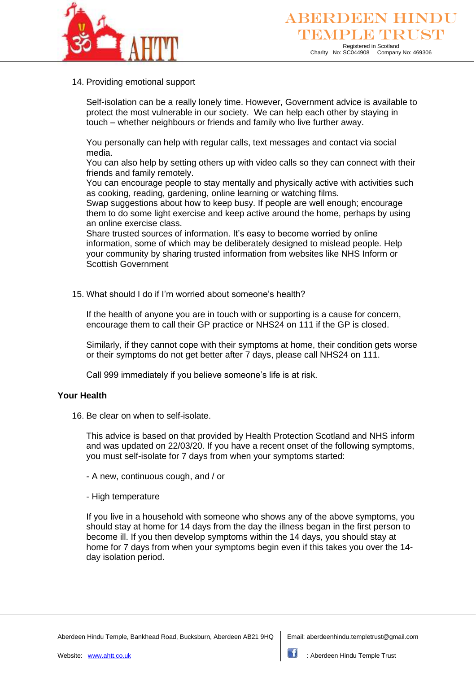

## 14. Providing emotional support

Self-isolation can be a really lonely time. However, Government advice is available to protect the most vulnerable in our society. We can help each other by staying in touch – whether neighbours or friends and family who live further away.

You personally can help with regular calls, text messages and contact via social media.

You can also help by setting others up with video calls so they can connect with their friends and family remotely.

You can encourage people to stay mentally and physically active with activities such as cooking, reading, gardening, online learning or watching films.

Swap suggestions about how to keep busy. If people are well enough; encourage them to do some light exercise and keep active around the home, perhaps by using an online exercise class.

Share trusted sources of information. It's easy to become worried by online information, some of which may be deliberately designed to mislead people. Help your community by sharing trusted information from websites like NHS Inform or Scottish Government

15. What should I do if I'm worried about someone's health?

If the health of anyone you are in touch with or supporting is a cause for concern, encourage them to call their GP practice or NHS24 on 111 if the GP is closed.

Similarly, if they cannot cope with their symptoms at home, their condition gets worse or their symptoms do not get better after 7 days, please call NHS24 on 111.

Call 999 immediately if you believe someone's life is at risk.

# **Your Health**

16. Be clear on when to self-isolate.

This advice is based on that provided by Health Protection Scotland and NHS inform and was updated on 22/03/20. If you have a recent onset of the following symptoms, you must self-isolate for 7 days from when your symptoms started:

- A new, continuous cough, and / or
- High temperature

If you live in a household with someone who shows any of the above symptoms, you should stay at home for 14 days from the day the illness began in the first person to become ill. If you then develop symptoms within the 14 days, you should stay at home for 7 days from when your symptoms begin even if this takes you over the 14 day isolation period.